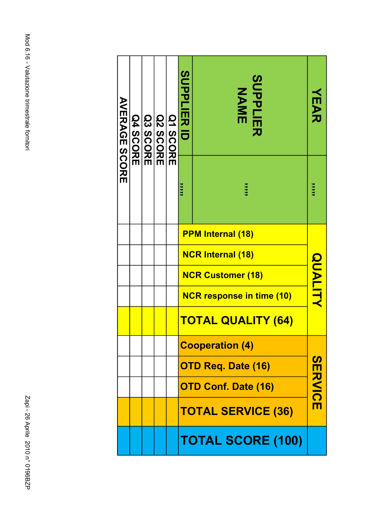| <b>AVERAGE SCORE</b> |  | <b>Q4 SCORE</b> |  | <b>Q3 SCORE</b> |                                  | <b>Q2 SCORE</b> |                |  | Q1 SCORE | <b>SUPPLIER ID</b> | <b>SUPPLIER<br/>NAME</b> | スロンガ |
|----------------------|--|-----------------|--|-----------------|----------------------------------|-----------------|----------------|--|----------|--------------------|--------------------------|------|
|                      |  |                 |  |                 | ,,,,,                            | ,,,,,           | 3333           |  |          |                    |                          |      |
|                      |  |                 |  |                 | <b>PPM Internal (18)</b>         |                 |                |  |          |                    |                          |      |
|                      |  |                 |  |                 | <b>NCR Internal (18)</b>         |                 |                |  |          |                    |                          |      |
|                      |  |                 |  |                 | <b>NCR Customer (18)</b>         |                 | <b>QUALITY</b> |  |          |                    |                          |      |
|                      |  |                 |  |                 | <b>NCR response in time (10)</b> |                 |                |  |          |                    |                          |      |
|                      |  |                 |  |                 | <u>TOTAL QUALITY (64)</u>        |                 |                |  |          |                    |                          |      |
|                      |  |                 |  |                 | <b>Cooperation (4)</b>           |                 |                |  |          |                    |                          |      |
|                      |  |                 |  |                 | <b>OTD Req. Date (16)</b>        |                 |                |  |          |                    |                          |      |
|                      |  |                 |  |                 | <b>OTD Conf. Date (16)</b>       |                 | <b>SERVICE</b> |  |          |                    |                          |      |
|                      |  |                 |  |                 | <b>TOTAL SERVICE (36)</b>        |                 |                |  |          |                    |                          |      |
|                      |  |                 |  |                 | <b>TOTAL SCORE (100)</b>         |                 |                |  |          |                    |                          |      |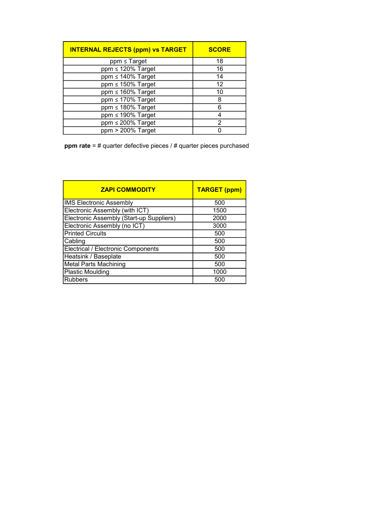| <b>INTERNAL REJECTS (ppm) vs TARGET</b> | <b>SCORE</b> |
|-----------------------------------------|--------------|
| $ppm \leq Target$                       | 18           |
| $ppm \leq 120\%$ Target                 | 16           |
| $ppm \leq 140\%$ Target                 | 14           |
| $ppm \leq 150\%$ Target                 | 12           |
| $ppm \leq 160\%$ Target                 | 10           |
| $ppm \leq 170\%$ Target                 | 8            |
| $ppm \leq 180\%$ Target                 | 6            |
| ppm ≤ 190% Target                       | 4            |
| $ppm \leq 200\%$ Target                 | 2            |
| ppm > 200% Target                       | n            |

ppm rate = # quarter defective pieces / # quarter pieces purchased

| <b>ZAPI COMMODITY</b>                     | <b>TARGET (ppm)</b> |
|-------------------------------------------|---------------------|
| <b>IMS Electronic Assembly</b>            | 500                 |
| Electronic Assembly (with ICT)            | 1500                |
| Electronic Assembly (Start-up Suppliers)  | 2000                |
| Electronic Assembly (no ICT)              | 3000                |
| <b>Printed Circuits</b>                   | 500                 |
| Cabling                                   | 500                 |
| <b>Electrical / Electronic Components</b> | 500                 |
| Heatsink / Baseplate                      | 500                 |
| <b>Metal Parts Machining</b>              | 500                 |
| <b>Plastic Moulding</b>                   | 1000                |
| <b>Rubbers</b>                            | 500                 |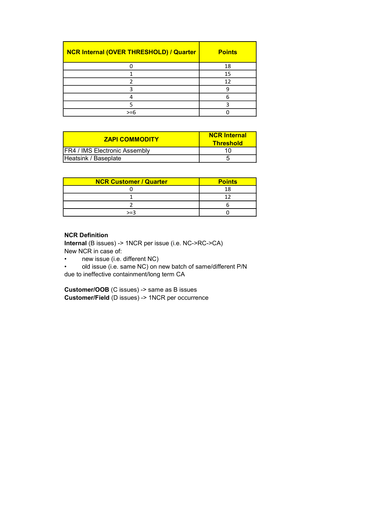| NCR Internal (OVER THRESHOLD) / Quarter | <b>Points</b> |
|-----------------------------------------|---------------|
|                                         | 18            |
|                                         | 15            |
|                                         | 12            |
|                                         |               |
|                                         |               |
|                                         |               |
| >=6                                     |               |

| <b>ZAPI COMMODITY</b>                | <b>NCR Internal</b><br><b>Threshold</b> |
|--------------------------------------|-----------------------------------------|
| <b>FR4 / IMS Electronic Assembly</b> |                                         |
| Heatsink / Baseplate                 |                                         |

| <b>NCR Customer / Quarter</b> | <b>Points</b> |
|-------------------------------|---------------|
|                               |               |
|                               |               |
|                               |               |
| $>=3$                         |               |

## NCR Definition

Internal (B issues) -> 1NCR per issue (i.e. NC->RC->CA) New NCR in case of:

• new issue (i.e. different NC)

• old issue (i.e. same NC) on new batch of same/different P/N due to ineffective containment/long term CA

Customer/OOB (C issues) -> same as B issues Customer/Field (D issues) -> 1NCR per occurrence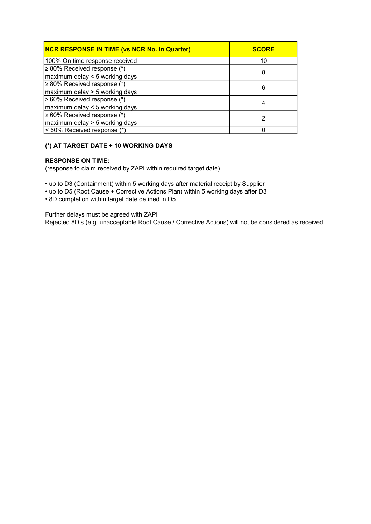| <b>NCR RESPONSE IN TIME (vs NCR No. In Quarter)</b> | <b>SCORE</b> |
|-----------------------------------------------------|--------------|
| 100% On time response received                      | 10           |
| $\geq 80\%$ Received response (*)                   | 8            |
| maximum delay < 5 working days                      |              |
| $\geq 80\%$ Received response (*)                   | 6            |
| maximum delay > 5 working days                      |              |
| $\geq 60\%$ Received response (*)                   |              |
| maximum delay < 5 working days                      | 4            |
| $\geq 60\%$ Received response (*)                   |              |
| maximum delay > 5 working days                      |              |
| < 60% Received response (*)                         |              |

## (\*) AT TARGET DATE + 10 WORKING DAYS

## RESPONSE ON TIME:

(response to claim received by ZAPI within required target date)

• up to D3 (Containment) within 5 working days after material receipt by Supplier

• up to D5 (Root Cause + Corrective Actions Plan) within 5 working days after D3

• 8D completion within target date defined in D5

Further delays must be agreed with ZAPI Rejected 8D's (e.g. unacceptable Root Cause / Corrective Actions) will not be considered as received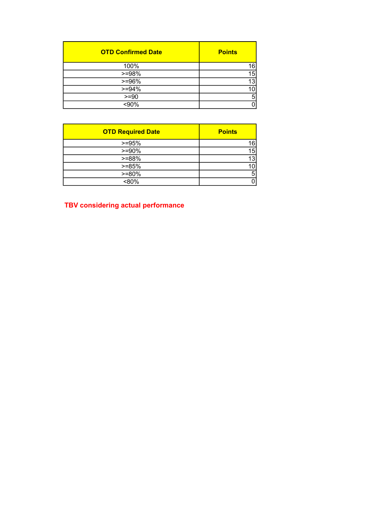| <b>OTD Confirmed Date</b> | <b>Points</b> |
|---------------------------|---------------|
| 100%                      | 16            |
| $>=98%$                   | 15            |
| $>=96%$                   | 13            |
| $>= 94%$                  | 10            |
| $=90$                     | 5             |
| $\sqrt{90\%}$             |               |

| <b>OTD Required Date</b> | <b>Points</b>  |
|--------------------------|----------------|
| $>=95%$                  | 16             |
| $>= 90\%$                | 15             |
| $>=88%$                  | 13             |
| $>= 85%$                 | 10             |
| $>= 80%$                 | 5 <sup>5</sup> |
| <80%                     | 0              |

## TBV considering actual performance